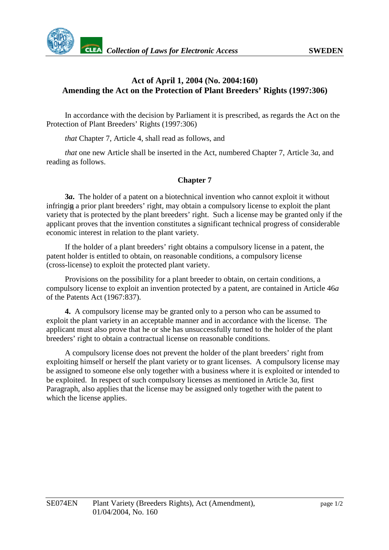

## **Act of April 1, 2004 (No. 2004:160) Amending the Act on the Protection of Plant Breeders' Rights (1997:306)**

In accordance with the decision by Parliament it is prescribed, as regards the Act on the Protection of Plant Breeders' Rights (1997:306)

*that* Chapter 7, Article 4, shall read as follows, and

*that* one new Article shall be inserted in the Act, numbered Chapter 7, Article 3*a*, and reading as follows.

## **Chapter 7**

**3***a***.** The holder of a patent on a biotechnical invention who cannot exploit it without infringing a prior plant breeders' right, may obtain a compulsory license to exploit the plant variety that is protected by the plant breeders' right. Such a license may be granted only if the applicant proves that the invention constitutes a significant technical progress of considerable economic interest in relation to the plant variety.

If the holder of a plant breeders' right obtains a compulsory license in a patent, the patent holder is entitled to obtain, on reasonable conditions, a compulsory license (cross-license) to exploit the protected plant variety.

Provisions on the possibility for a plant breeder to obtain, on certain conditions, a compulsory license to exploit an invention protected by a patent, are contained in Article 46*a* of the Patents Act (1967:837).

**4.** A compulsory license may be granted only to a person who can be assumed to exploit the plant variety in an acceptable manner and in accordance with the license. The applicant must also prove that he or she has unsuccessfully turned to the holder of the plant breeders' right to obtain a contractual license on reasonable conditions.

A compulsory license does not prevent the holder of the plant breeders' right from exploiting himself or herself the plant variety or to grant licenses. A compulsory license may be assigned to someone else only together with a business where it is exploited or intended to be exploited. In respect of such compulsory licenses as mentioned in Article 3*a*, first Paragraph, also applies that the license may be assigned only together with the patent to which the license applies.